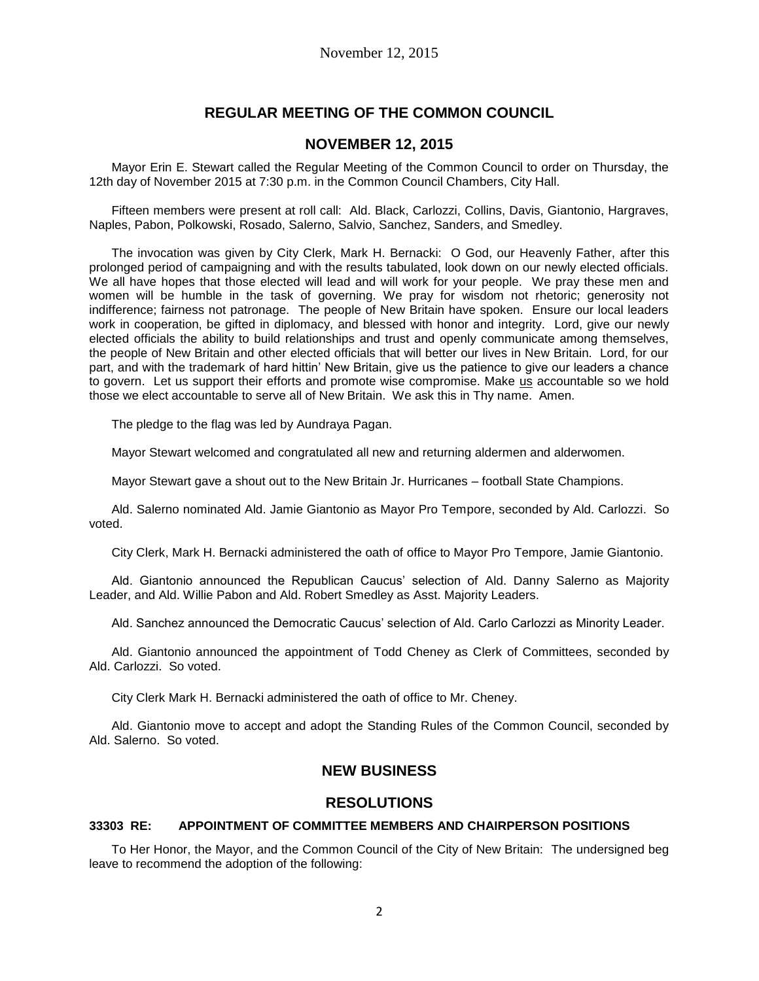# **REGULAR MEETING OF THE COMMON COUNCIL**

## **NOVEMBER 12, 2015**

Mayor Erin E. Stewart called the Regular Meeting of the Common Council to order on Thursday, the 12th day of November 2015 at 7:30 p.m. in the Common Council Chambers, City Hall.

Fifteen members were present at roll call: Ald. Black, Carlozzi, Collins, Davis, Giantonio, Hargraves, Naples, Pabon, Polkowski, Rosado, Salerno, Salvio, Sanchez, Sanders, and Smedley.

The invocation was given by City Clerk, Mark H. Bernacki: O God, our Heavenly Father, after this prolonged period of campaigning and with the results tabulated, look down on our newly elected officials. We all have hopes that those elected will lead and will work for your people. We pray these men and women will be humble in the task of governing. We pray for wisdom not rhetoric; generosity not indifference; fairness not patronage. The people of New Britain have spoken. Ensure our local leaders work in cooperation, be gifted in diplomacy, and blessed with honor and integrity. Lord, give our newly elected officials the ability to build relationships and trust and openly communicate among themselves, the people of New Britain and other elected officials that will better our lives in New Britain. Lord, for our part, and with the trademark of hard hittin' New Britain, give us the patience to give our leaders a chance to govern. Let us support their efforts and promote wise compromise. Make us accountable so we hold those we elect accountable to serve all of New Britain. We ask this in Thy name. Amen.

The pledge to the flag was led by Aundraya Pagan.

Mayor Stewart welcomed and congratulated all new and returning aldermen and alderwomen.

Mayor Stewart gave a shout out to the New Britain Jr. Hurricanes – football State Champions.

Ald. Salerno nominated Ald. Jamie Giantonio as Mayor Pro Tempore, seconded by Ald. Carlozzi. So voted.

City Clerk, Mark H. Bernacki administered the oath of office to Mayor Pro Tempore, Jamie Giantonio.

Ald. Giantonio announced the Republican Caucus' selection of Ald. Danny Salerno as Majority Leader, and Ald. Willie Pabon and Ald. Robert Smedley as Asst. Majority Leaders.

Ald. Sanchez announced the Democratic Caucus' selection of Ald. Carlo Carlozzi as Minority Leader.

Ald. Giantonio announced the appointment of Todd Cheney as Clerk of Committees, seconded by Ald. Carlozzi. So voted.

City Clerk Mark H. Bernacki administered the oath of office to Mr. Cheney.

Ald. Giantonio move to accept and adopt the Standing Rules of the Common Council, seconded by Ald. Salerno. So voted.

## **NEW BUSINESS**

### **RESOLUTIONS**

#### **33303 RE: APPOINTMENT OF COMMITTEE MEMBERS AND CHAIRPERSON POSITIONS**

To Her Honor, the Mayor, and the Common Council of the City of New Britain: The undersigned beg leave to recommend the adoption of the following: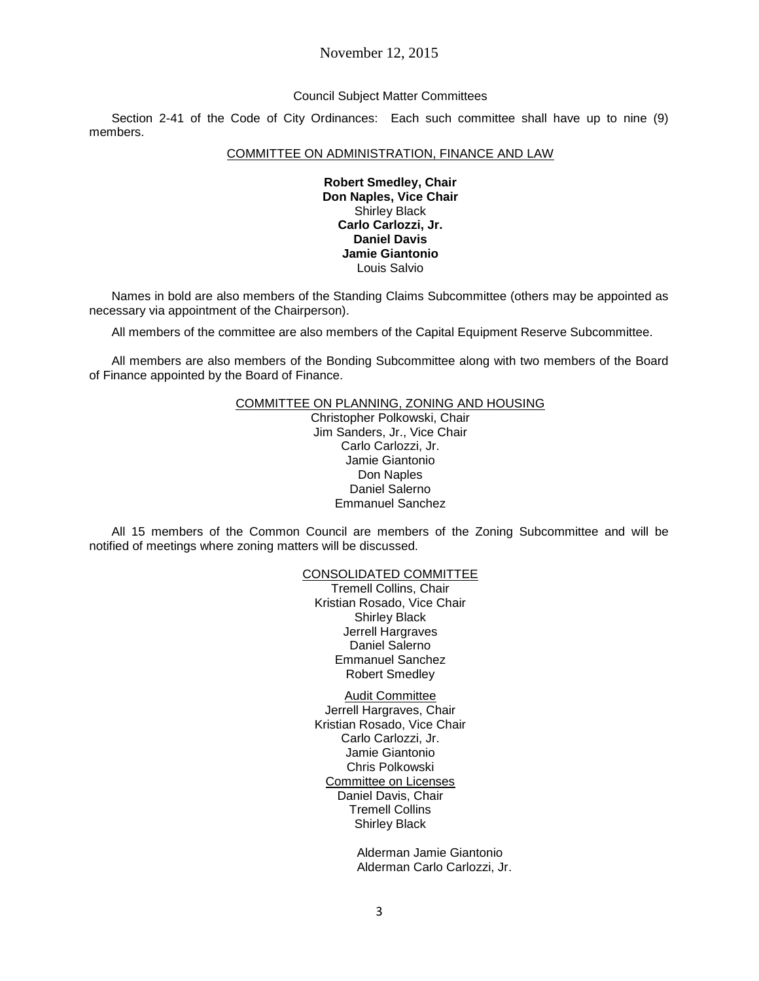## November 12, 2015

#### Council Subject Matter Committees

Section 2-41 of the Code of City Ordinances: Each such committee shall have up to nine (9) members.

#### COMMITTEE ON ADMINISTRATION, FINANCE AND LAW

**Robert Smedley, Chair Don Naples, Vice Chair** Shirley Black **Carlo Carlozzi, Jr. Daniel Davis Jamie Giantonio** Louis Salvio

Names in bold are also members of the Standing Claims Subcommittee (others may be appointed as necessary via appointment of the Chairperson).

All members of the committee are also members of the Capital Equipment Reserve Subcommittee.

All members are also members of the Bonding Subcommittee along with two members of the Board of Finance appointed by the Board of Finance.

#### COMMITTEE ON PLANNING, ZONING AND HOUSING

Christopher Polkowski, Chair Jim Sanders, Jr., Vice Chair Carlo Carlozzi, Jr. Jamie Giantonio Don Naples Daniel Salerno Emmanuel Sanchez

All 15 members of the Common Council are members of the Zoning Subcommittee and will be notified of meetings where zoning matters will be discussed.

#### CONSOLIDATED COMMITTEE

Tremell Collins, Chair Kristian Rosado, Vice Chair Shirley Black Jerrell Hargraves Daniel Salerno Emmanuel Sanchez Robert Smedley

Audit Committee

Jerrell Hargraves, Chair Kristian Rosado, Vice Chair Carlo Carlozzi, Jr. Jamie Giantonio Chris Polkowski Committee on Licenses Daniel Davis, Chair Tremell Collins Shirley Black

> Alderman Jamie Giantonio Alderman Carlo Carlozzi, Jr.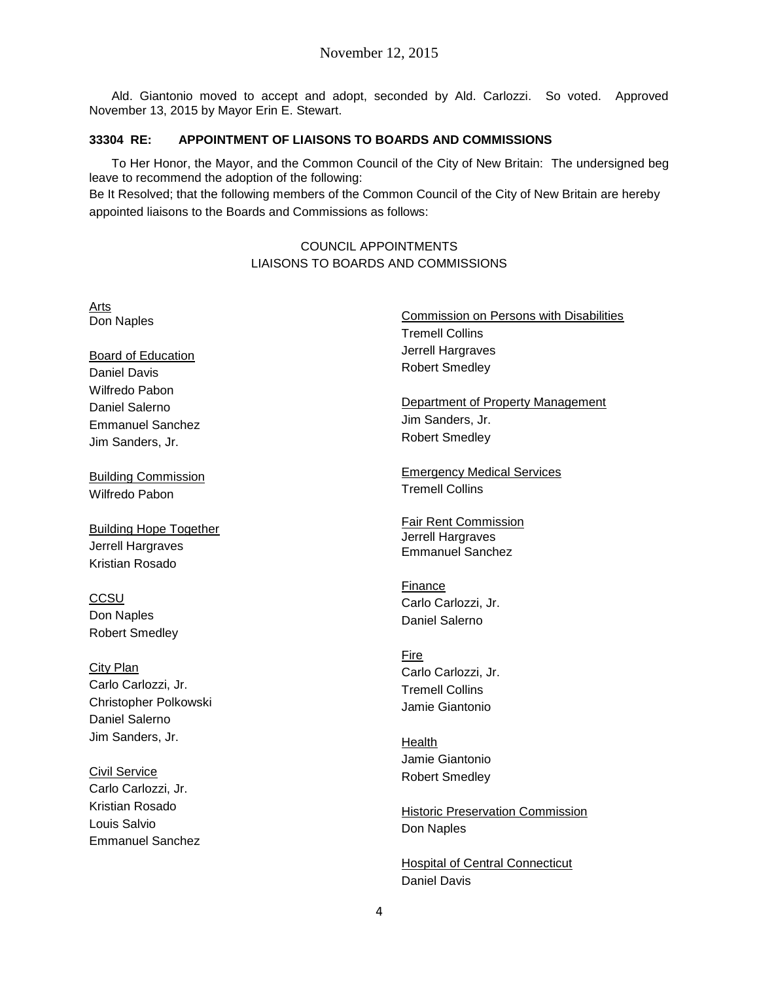Ald. Giantonio moved to accept and adopt, seconded by Ald. Carlozzi. So voted. Approved November 13, 2015 by Mayor Erin E. Stewart.

### **33304 RE: APPOINTMENT OF LIAISONS TO BOARDS AND COMMISSIONS**

Arts

**CCSU** 

To Her Honor, the Mayor, and the Common Council of the City of New Britain: The undersigned beg leave to recommend the adoption of the following:

Be It Resolved; that the following members of the Common Council of the City of New Britain are hereby appointed liaisons to the Boards and Commissions as follows:

## COUNCIL APPOINTMENTS LIAISONS TO BOARDS AND COMMISSIONS

Don Naples Board of Education Daniel Davis Wilfredo Pabon Daniel Salerno Emmanuel Sanchez Jim Sanders, Jr. Building Commission Wilfredo Pabon Building Hope Together Jerrell Hargraves Kristian Rosado Don Naples Robert Smedley City Plan Carlo Carlozzi, Jr. Christopher Polkowski Daniel Salerno Jim Sanders, Jr. Civil Service Carlo Carlozzi, Jr. Kristian Rosado Louis Salvio Emmanuel Sanchez Commission on Persons with Disabilities Tremell Collins Jerrell Hargraves Robert Smedley Department of Property Management Jim Sanders, Jr. Robert Smedley Emergency Medical Services Tremell Collins Fair Rent Commission Jerrell Hargraves Emmanuel Sanchez Finance Carlo Carlozzi, Jr. Daniel Salerno Fire Carlo Carlozzi, Jr. Tremell Collins Jamie Giantonio Health Jamie Giantonio Robert Smedley **Historic Preservation Commission** Don Naples

> Hospital of Central Connecticut Daniel Davis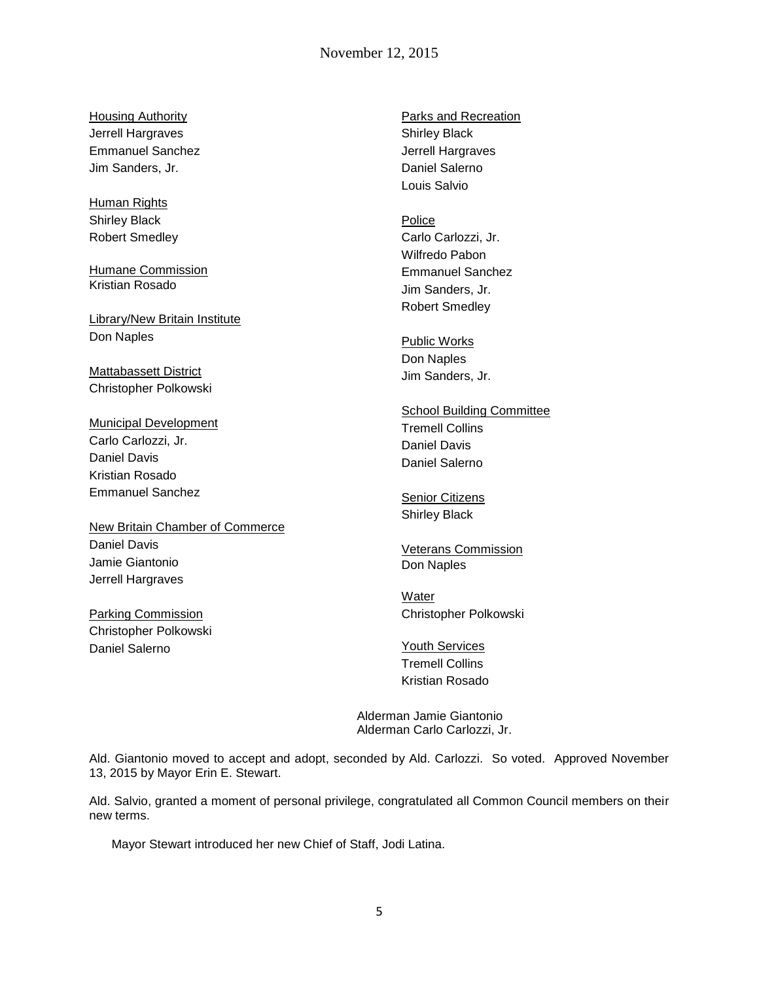## November 12, 2015

**Housing Authority** Jerrell Hargraves Emmanuel Sanchez Jim Sanders, Jr.

Human Rights Shirley Black Robert Smedley

Humane Commission Kristian Rosado

Library/New Britain Institute Don Naples

Mattabassett District Christopher Polkowski

Municipal Development Carlo Carlozzi, Jr. Daniel Davis Kristian Rosado Emmanuel Sanchez

New Britain Chamber of Commerce Daniel Davis Jamie Giantonio Jerrell Hargraves

Parking Commission Christopher Polkowski Daniel Salerno

Parks and Recreation Shirley Black Jerrell Hargraves Daniel Salerno Louis Salvio

Police Carlo Carlozzi, Jr. Wilfredo Pabon Emmanuel Sanchez Jim Sanders, Jr. Robert Smedley

Public Works Don Naples Jim Sanders, Jr.

School Building Committee Tremell Collins Daniel Davis Daniel Salerno

**Senior Citizens** Shirley Black

Veterans Commission Don Naples

Water Christopher Polkowski

Youth Services Tremell Collins Kristian Rosado

Alderman Jamie Giantonio Alderman Carlo Carlozzi, Jr.

Ald. Giantonio moved to accept and adopt, seconded by Ald. Carlozzi. So voted. Approved November 13, 2015 by Mayor Erin E. Stewart.

Ald. Salvio, granted a moment of personal privilege, congratulated all Common Council members on their new terms.

Mayor Stewart introduced her new Chief of Staff, Jodi Latina.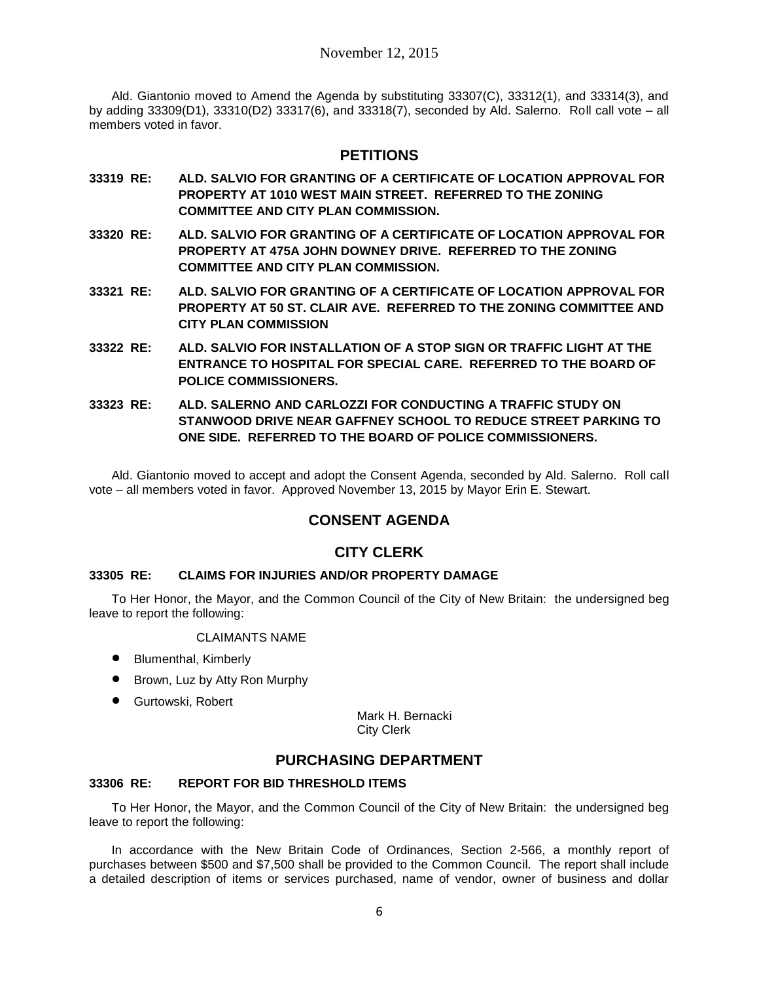Ald. Giantonio moved to Amend the Agenda by substituting 33307(C), 33312(1), and 33314(3), and by adding 33309(D1), 33310(D2) 33317(6), and 33318(7), seconded by Ald. Salerno. Roll call vote – all members voted in favor.

## **PETITIONS**

- **33319 RE: ALD. SALVIO FOR GRANTING OF A CERTIFICATE OF LOCATION APPROVAL FOR PROPERTY AT 1010 WEST MAIN STREET. REFERRED TO THE ZONING COMMITTEE AND CITY PLAN COMMISSION.**
- **33320 RE: ALD. SALVIO FOR GRANTING OF A CERTIFICATE OF LOCATION APPROVAL FOR PROPERTY AT 475A JOHN DOWNEY DRIVE. REFERRED TO THE ZONING COMMITTEE AND CITY PLAN COMMISSION.**
- **33321 RE: ALD. SALVIO FOR GRANTING OF A CERTIFICATE OF LOCATION APPROVAL FOR PROPERTY AT 50 ST. CLAIR AVE. REFERRED TO THE ZONING COMMITTEE AND CITY PLAN COMMISSION**
- **33322 RE: ALD. SALVIO FOR INSTALLATION OF A STOP SIGN OR TRAFFIC LIGHT AT THE ENTRANCE TO HOSPITAL FOR SPECIAL CARE. REFERRED TO THE BOARD OF POLICE COMMISSIONERS.**
- **33323 RE: ALD. SALERNO AND CARLOZZI FOR CONDUCTING A TRAFFIC STUDY ON STANWOOD DRIVE NEAR GAFFNEY SCHOOL TO REDUCE STREET PARKING TO ONE SIDE. REFERRED TO THE BOARD OF POLICE COMMISSIONERS.**

Ald. Giantonio moved to accept and adopt the Consent Agenda, seconded by Ald. Salerno. Roll call vote – all members voted in favor. Approved November 13, 2015 by Mayor Erin E. Stewart.

# **CONSENT AGENDA**

# **CITY CLERK**

### **33305 RE: CLAIMS FOR INJURIES AND/OR PROPERTY DAMAGE**

To Her Honor, the Mayor, and the Common Council of the City of New Britain: the undersigned beg leave to report the following:

### CLAIMANTS NAME

- Blumenthal, Kimberly
- **Brown, Luz by Atty Ron Murphy**
- **•** Gurtowski, Robert

Mark H. Bernacki City Clerk

# **PURCHASING DEPARTMENT**

### **33306 RE: REPORT FOR BID THRESHOLD ITEMS**

To Her Honor, the Mayor, and the Common Council of the City of New Britain: the undersigned beg leave to report the following:

In accordance with the New Britain Code of Ordinances, Section 2-566, a monthly report of purchases between \$500 and \$7,500 shall be provided to the Common Council. The report shall include a detailed description of items or services purchased, name of vendor, owner of business and dollar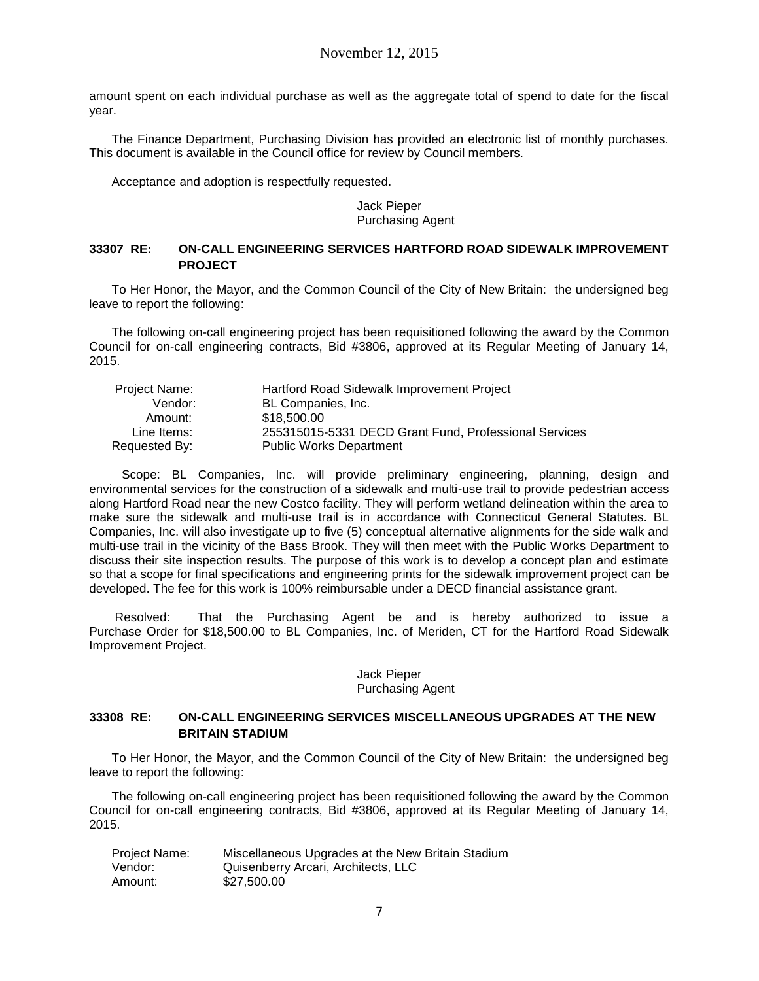amount spent on each individual purchase as well as the aggregate total of spend to date for the fiscal year.

The Finance Department, Purchasing Division has provided an electronic list of monthly purchases. This document is available in the Council office for review by Council members.

Acceptance and adoption is respectfully requested.

Jack Pieper Purchasing Agent

### **33307 RE: ON-CALL ENGINEERING SERVICES HARTFORD ROAD SIDEWALK IMPROVEMENT PROJECT**

To Her Honor, the Mayor, and the Common Council of the City of New Britain: the undersigned beg leave to report the following:

The following on-call engineering project has been requisitioned following the award by the Common Council for on-call engineering contracts, Bid #3806, approved at its Regular Meeting of January 14, 2015.

| Hartford Road Sidewalk Improvement Project            |
|-------------------------------------------------------|
| BL Companies, Inc.                                    |
| \$18,500.00                                           |
| 255315015-5331 DECD Grant Fund, Professional Services |
| <b>Public Works Department</b>                        |
|                                                       |

 Scope: BL Companies, Inc. will provide preliminary engineering, planning, design and environmental services for the construction of a sidewalk and multi-use trail to provide pedestrian access along Hartford Road near the new Costco facility. They will perform wetland delineation within the area to make sure the sidewalk and multi-use trail is in accordance with Connecticut General Statutes. BL Companies, Inc. will also investigate up to five (5) conceptual alternative alignments for the side walk and multi-use trail in the vicinity of the Bass Brook. They will then meet with the Public Works Department to discuss their site inspection results. The purpose of this work is to develop a concept plan and estimate so that a scope for final specifications and engineering prints for the sidewalk improvement project can be developed. The fee for this work is 100% reimbursable under a DECD financial assistance grant.

Resolved: That the Purchasing Agent be and is hereby authorized to issue a Purchase Order for \$18,500.00 to BL Companies, Inc. of Meriden, CT for the Hartford Road Sidewalk Improvement Project.

#### Jack Pieper Purchasing Agent

#### **33308 RE: ON-CALL ENGINEERING SERVICES MISCELLANEOUS UPGRADES AT THE NEW BRITAIN STADIUM**

To Her Honor, the Mayor, and the Common Council of the City of New Britain: the undersigned beg leave to report the following:

The following on-call engineering project has been requisitioned following the award by the Common Council for on-call engineering contracts, Bid #3806, approved at its Regular Meeting of January 14, 2015.

| Project Name: | Miscellaneous Upgrades at the New Britain Stadium |
|---------------|---------------------------------------------------|
| Vendor:       | Quisenberry Arcari, Architects, LLC               |
| Amount:       | \$27,500,00                                       |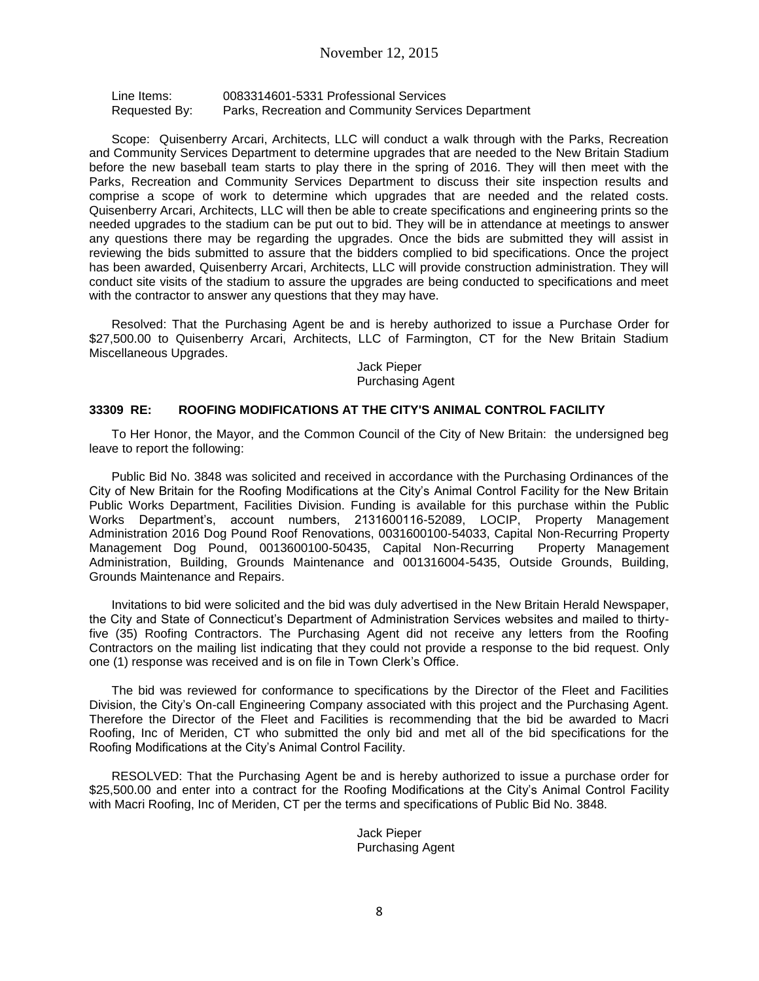Line Items: 0083314601-5331 Professional Services Requested By: Parks, Recreation and Community Services Department

Scope: Quisenberry Arcari, Architects, LLC will conduct a walk through with the Parks, Recreation and Community Services Department to determine upgrades that are needed to the New Britain Stadium before the new baseball team starts to play there in the spring of 2016. They will then meet with the Parks, Recreation and Community Services Department to discuss their site inspection results and comprise a scope of work to determine which upgrades that are needed and the related costs. Quisenberry Arcari, Architects, LLC will then be able to create specifications and engineering prints so the needed upgrades to the stadium can be put out to bid. They will be in attendance at meetings to answer any questions there may be regarding the upgrades. Once the bids are submitted they will assist in reviewing the bids submitted to assure that the bidders complied to bid specifications. Once the project has been awarded, Quisenberry Arcari, Architects, LLC will provide construction administration. They will conduct site visits of the stadium to assure the upgrades are being conducted to specifications and meet with the contractor to answer any questions that they may have.

Resolved: That the Purchasing Agent be and is hereby authorized to issue a Purchase Order for \$27,500.00 to Quisenberry Arcari, Architects, LLC of Farmington, CT for the New Britain Stadium Miscellaneous Upgrades.

> Jack Pieper Purchasing Agent

#### **33309 RE: ROOFING MODIFICATIONS AT THE CITY'S ANIMAL CONTROL FACILITY**

To Her Honor, the Mayor, and the Common Council of the City of New Britain: the undersigned beg leave to report the following:

Public Bid No. 3848 was solicited and received in accordance with the Purchasing Ordinances of the City of New Britain for the Roofing Modifications at the City's Animal Control Facility for the New Britain Public Works Department, Facilities Division. Funding is available for this purchase within the Public Works Department's, account numbers, 2131600116-52089, LOCIP, Property Management Administration 2016 Dog Pound Roof Renovations, 0031600100-54033, Capital Non-Recurring Property Management Dog Pound, 0013600100-50435, Capital Non-Recurring Property Management Administration, Building, Grounds Maintenance and 001316004-5435, Outside Grounds, Building, Grounds Maintenance and Repairs.

Invitations to bid were solicited and the bid was duly advertised in the New Britain Herald Newspaper, the City and State of Connecticut's Department of Administration Services websites and mailed to thirtyfive (35) Roofing Contractors. The Purchasing Agent did not receive any letters from the Roofing Contractors on the mailing list indicating that they could not provide a response to the bid request. Only one (1) response was received and is on file in Town Clerk's Office.

The bid was reviewed for conformance to specifications by the Director of the Fleet and Facilities Division, the City's On-call Engineering Company associated with this project and the Purchasing Agent. Therefore the Director of the Fleet and Facilities is recommending that the bid be awarded to Macri Roofing, Inc of Meriden, CT who submitted the only bid and met all of the bid specifications for the Roofing Modifications at the City's Animal Control Facility.

RESOLVED: That the Purchasing Agent be and is hereby authorized to issue a purchase order for \$25,500.00 and enter into a contract for the Roofing Modifications at the City's Animal Control Facility with Macri Roofing, Inc of Meriden, CT per the terms and specifications of Public Bid No. 3848.

> Jack Pieper Purchasing Agent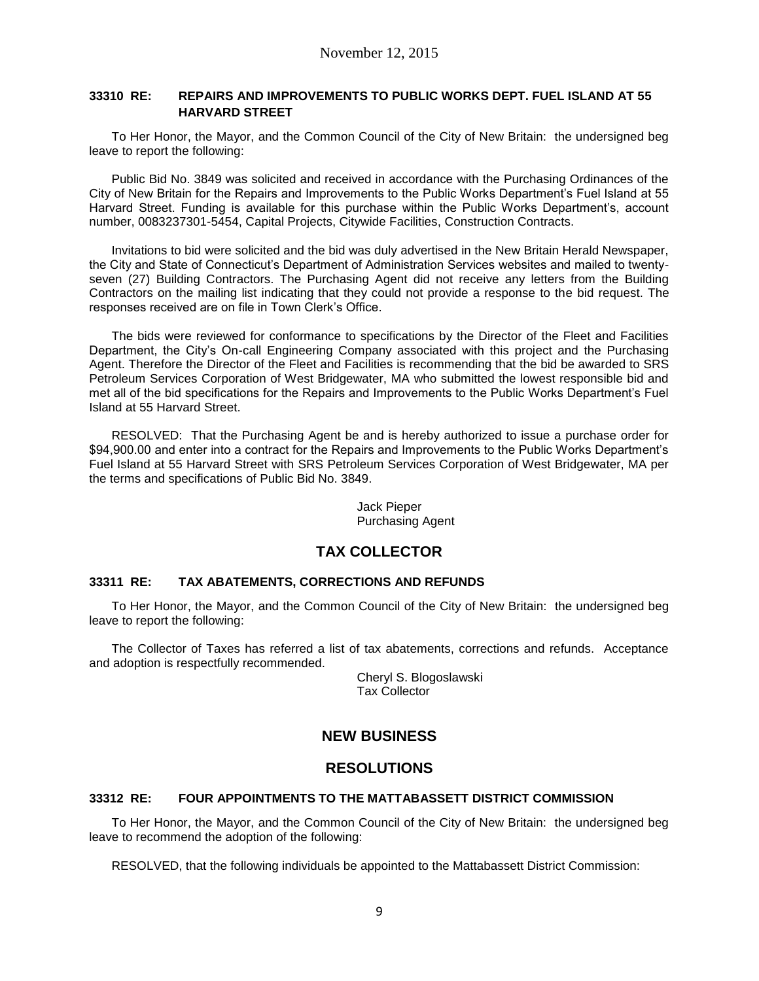#### **33310 RE: REPAIRS AND IMPROVEMENTS TO PUBLIC WORKS DEPT. FUEL ISLAND AT 55 HARVARD STREET**

To Her Honor, the Mayor, and the Common Council of the City of New Britain: the undersigned beg leave to report the following:

Public Bid No. 3849 was solicited and received in accordance with the Purchasing Ordinances of the City of New Britain for the Repairs and Improvements to the Public Works Department's Fuel Island at 55 Harvard Street. Funding is available for this purchase within the Public Works Department's, account number, 0083237301-5454, Capital Projects, Citywide Facilities, Construction Contracts.

Invitations to bid were solicited and the bid was duly advertised in the New Britain Herald Newspaper, the City and State of Connecticut's Department of Administration Services websites and mailed to twentyseven (27) Building Contractors. The Purchasing Agent did not receive any letters from the Building Contractors on the mailing list indicating that they could not provide a response to the bid request. The responses received are on file in Town Clerk's Office.

The bids were reviewed for conformance to specifications by the Director of the Fleet and Facilities Department, the City's On-call Engineering Company associated with this project and the Purchasing Agent. Therefore the Director of the Fleet and Facilities is recommending that the bid be awarded to SRS Petroleum Services Corporation of West Bridgewater, MA who submitted the lowest responsible bid and met all of the bid specifications for the Repairs and Improvements to the Public Works Department's Fuel Island at 55 Harvard Street.

RESOLVED: That the Purchasing Agent be and is hereby authorized to issue a purchase order for \$94,900.00 and enter into a contract for the Repairs and Improvements to the Public Works Department's Fuel Island at 55 Harvard Street with SRS Petroleum Services Corporation of West Bridgewater, MA per the terms and specifications of Public Bid No. 3849.

> Jack Pieper Purchasing Agent

# **TAX COLLECTOR**

### **33311 RE: TAX ABATEMENTS, CORRECTIONS AND REFUNDS**

To Her Honor, the Mayor, and the Common Council of the City of New Britain: the undersigned beg leave to report the following:

The Collector of Taxes has referred a list of tax abatements, corrections and refunds. Acceptance and adoption is respectfully recommended.

> Cheryl S. Blogoslawski Tax Collector

# **NEW BUSINESS**

## **RESOLUTIONS**

### **33312 RE: FOUR APPOINTMENTS TO THE MATTABASSETT DISTRICT COMMISSION**

To Her Honor, the Mayor, and the Common Council of the City of New Britain: the undersigned beg leave to recommend the adoption of the following:

RESOLVED, that the following individuals be appointed to the Mattabassett District Commission: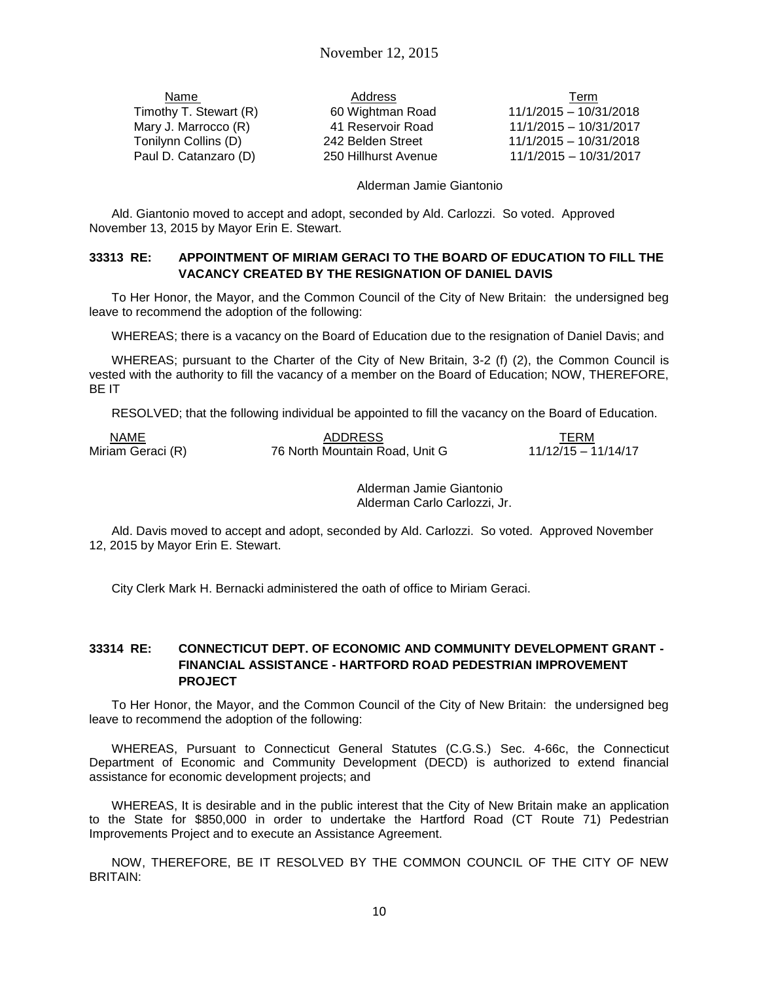<u>Name Term Address</u> Address Address Address Address Address Address Address Address Address Address Address Address Address Address Address Address Address Address Address Address Address Address Address Address Address Ad Timothy T. Stewart (R) 60 Wightman Road 11/1/2015 – 10/31/2018 Mary J. Marrocco (R) 41 Reservoir Road 11/1/2015 – 10/31/2017 Tonilynn Collins (D) 242 Belden Street 11/1/2015 – 10/31/2018 Paul D. Catanzaro (D) 250 Hillhurst Avenue 11/1/2015 – 10/31/2017

#### Alderman Jamie Giantonio

Ald. Giantonio moved to accept and adopt, seconded by Ald. Carlozzi. So voted. Approved November 13, 2015 by Mayor Erin E. Stewart.

#### **33313 RE: APPOINTMENT OF MIRIAM GERACI TO THE BOARD OF EDUCATION TO FILL THE VACANCY CREATED BY THE RESIGNATION OF DANIEL DAVIS**

To Her Honor, the Mayor, and the Common Council of the City of New Britain: the undersigned beg leave to recommend the adoption of the following:

WHEREAS; there is a vacancy on the Board of Education due to the resignation of Daniel Davis; and

WHEREAS; pursuant to the Charter of the City of New Britain, 3-2 (f) (2), the Common Council is vested with the authority to fill the vacancy of a member on the Board of Education; NOW, THEREFORE, BE IT

RESOLVED; that the following individual be appointed to fill the vacancy on the Board of Education.

| NAME              | <b>ADDRESS</b>                 | TERM                  |
|-------------------|--------------------------------|-----------------------|
| Miriam Geraci (R) | 76 North Mountain Road, Unit G | $11/12/15 - 11/14/17$ |

Alderman Jamie Giantonio Alderman Carlo Carlozzi, Jr.

Ald. Davis moved to accept and adopt, seconded by Ald. Carlozzi. So voted. Approved November 12, 2015 by Mayor Erin E. Stewart.

City Clerk Mark H. Bernacki administered the oath of office to Miriam Geraci.

### **33314 RE: CONNECTICUT DEPT. OF ECONOMIC AND COMMUNITY DEVELOPMENT GRANT - FINANCIAL ASSISTANCE - HARTFORD ROAD PEDESTRIAN IMPROVEMENT PROJECT**

To Her Honor, the Mayor, and the Common Council of the City of New Britain: the undersigned beg leave to recommend the adoption of the following:

WHEREAS, Pursuant to Connecticut General Statutes (C.G.S.) Sec. 4-66c, the Connecticut Department of Economic and Community Development (DECD) is authorized to extend financial assistance for economic development projects; and

WHEREAS, It is desirable and in the public interest that the City of New Britain make an application to the State for \$850,000 in order to undertake the Hartford Road (CT Route 71) Pedestrian Improvements Project and to execute an Assistance Agreement.

NOW, THEREFORE, BE IT RESOLVED BY THE COMMON COUNCIL OF THE CITY OF NEW BRITAIN: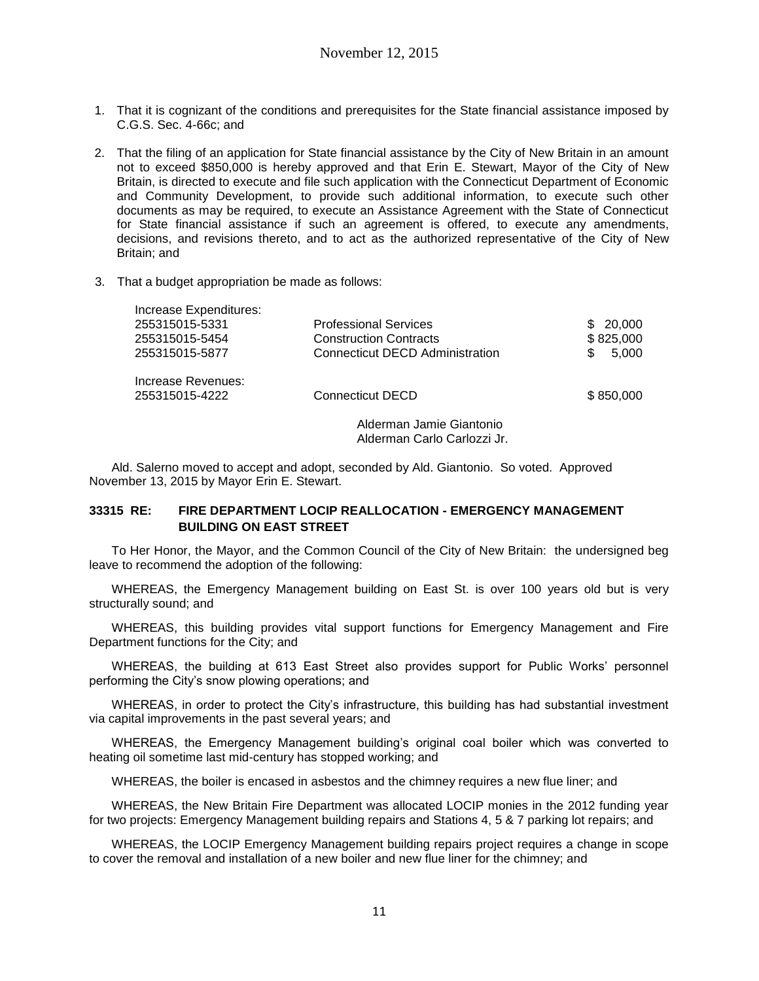- 1. That it is cognizant of the conditions and prerequisites for the State financial assistance imposed by C.G.S. Sec. 4-66c; and
- 2. That the filing of an application for State financial assistance by the City of New Britain in an amount not to exceed \$850,000 is hereby approved and that Erin E. Stewart, Mayor of the City of New Britain, is directed to execute and file such application with the Connecticut Department of Economic and Community Development, to provide such additional information, to execute such other documents as may be required, to execute an Assistance Agreement with the State of Connecticut for State financial assistance if such an agreement is offered, to execute any amendments, decisions, and revisions thereto, and to act as the authorized representative of the City of New Britain; and
- 3. That a budget appropriation be made as follows:

| Increase Expenditures: |                                        |               |  |  |  |
|------------------------|----------------------------------------|---------------|--|--|--|
| 255315015-5331         | <b>Professional Services</b>           | 20,000<br>SS. |  |  |  |
| 255315015-5454         | <b>Construction Contracts</b>          | \$825,000     |  |  |  |
| 255315015-5877         | <b>Connecticut DECD Administration</b> |               |  |  |  |
| Increase Revenues:     |                                        |               |  |  |  |
| 255315015-4222         | <b>Connecticut DECD</b>                | \$850,000     |  |  |  |
|                        |                                        |               |  |  |  |

Alderman Jamie Giantonio Alderman Carlo Carlozzi Jr.

Ald. Salerno moved to accept and adopt, seconded by Ald. Giantonio. So voted. Approved November 13, 2015 by Mayor Erin E. Stewart.

### **33315 RE: FIRE DEPARTMENT LOCIP REALLOCATION - EMERGENCY MANAGEMENT BUILDING ON EAST STREET**

To Her Honor, the Mayor, and the Common Council of the City of New Britain: the undersigned beg leave to recommend the adoption of the following:

WHEREAS, the Emergency Management building on East St. is over 100 years old but is very structurally sound; and

WHEREAS, this building provides vital support functions for Emergency Management and Fire Department functions for the City; and

WHEREAS, the building at 613 East Street also provides support for Public Works' personnel performing the City's snow plowing operations; and

WHEREAS, in order to protect the City's infrastructure, this building has had substantial investment via capital improvements in the past several years; and

WHEREAS, the Emergency Management building's original coal boiler which was converted to heating oil sometime last mid-century has stopped working; and

WHEREAS, the boiler is encased in asbestos and the chimney requires a new flue liner; and

WHEREAS, the New Britain Fire Department was allocated LOCIP monies in the 2012 funding year for two projects: Emergency Management building repairs and Stations 4, 5 & 7 parking lot repairs; and

WHEREAS, the LOCIP Emergency Management building repairs project requires a change in scope to cover the removal and installation of a new boiler and new flue liner for the chimney; and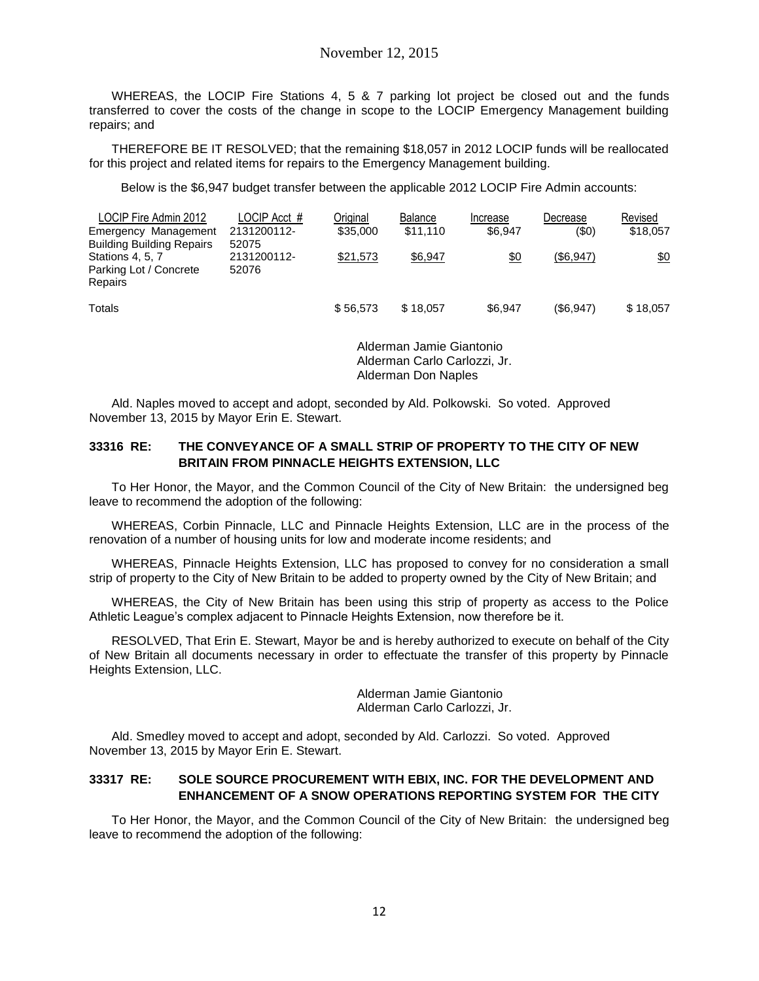WHEREAS, the LOCIP Fire Stations 4, 5 & 7 parking lot project be closed out and the funds transferred to cover the costs of the change in scope to the LOCIP Emergency Management building repairs; and

THEREFORE BE IT RESOLVED; that the remaining \$18,057 in 2012 LOCIP funds will be reallocated for this project and related items for repairs to the Emergency Management building.

Below is the \$6,947 budget transfer between the applicable 2012 LOCIP Fire Admin accounts:

| LOCIP Fire Admin 2012                                    | LOCIP Acct #         | Original | <b>Balance</b> | Increase | Decrease  | Revised  |
|----------------------------------------------------------|----------------------|----------|----------------|----------|-----------|----------|
| Emergency Management<br><b>Building Building Repairs</b> | 2131200112-<br>52075 | \$35,000 | \$11.110       | \$6.947  | (\$0)     | \$18,057 |
| Stations 4, 5, 7<br>Parking Lot / Concrete<br>Repairs    | 2131200112-<br>52076 | \$21.573 | \$6,947        | \$0      | (\$6,947) | \$0      |
| Totals                                                   |                      | \$56.573 | \$18,057       | \$6,947  | (\$6,947) | \$18,057 |

Alderman Jamie Giantonio Alderman Carlo Carlozzi, Jr. Alderman Don Naples

Ald. Naples moved to accept and adopt, seconded by Ald. Polkowski. So voted. Approved November 13, 2015 by Mayor Erin E. Stewart.

#### **33316 RE: THE CONVEYANCE OF A SMALL STRIP OF PROPERTY TO THE CITY OF NEW BRITAIN FROM PINNACLE HEIGHTS EXTENSION, LLC**

To Her Honor, the Mayor, and the Common Council of the City of New Britain: the undersigned beg leave to recommend the adoption of the following:

WHEREAS, Corbin Pinnacle, LLC and Pinnacle Heights Extension, LLC are in the process of the renovation of a number of housing units for low and moderate income residents; and

WHEREAS, Pinnacle Heights Extension, LLC has proposed to convey for no consideration a small strip of property to the City of New Britain to be added to property owned by the City of New Britain; and

WHEREAS, the City of New Britain has been using this strip of property as access to the Police Athletic League's complex adjacent to Pinnacle Heights Extension, now therefore be it.

RESOLVED, That Erin E. Stewart, Mayor be and is hereby authorized to execute on behalf of the City of New Britain all documents necessary in order to effectuate the transfer of this property by Pinnacle Heights Extension, LLC.

> Alderman Jamie Giantonio Alderman Carlo Carlozzi, Jr.

Ald. Smedley moved to accept and adopt, seconded by Ald. Carlozzi. So voted. Approved November 13, 2015 by Mayor Erin E. Stewart.

### **33317 RE: SOLE SOURCE PROCUREMENT WITH EBIX, INC. FOR THE DEVELOPMENT AND ENHANCEMENT OF A SNOW OPERATIONS REPORTING SYSTEM FOR THE CITY**

To Her Honor, the Mayor, and the Common Council of the City of New Britain: the undersigned beg leave to recommend the adoption of the following: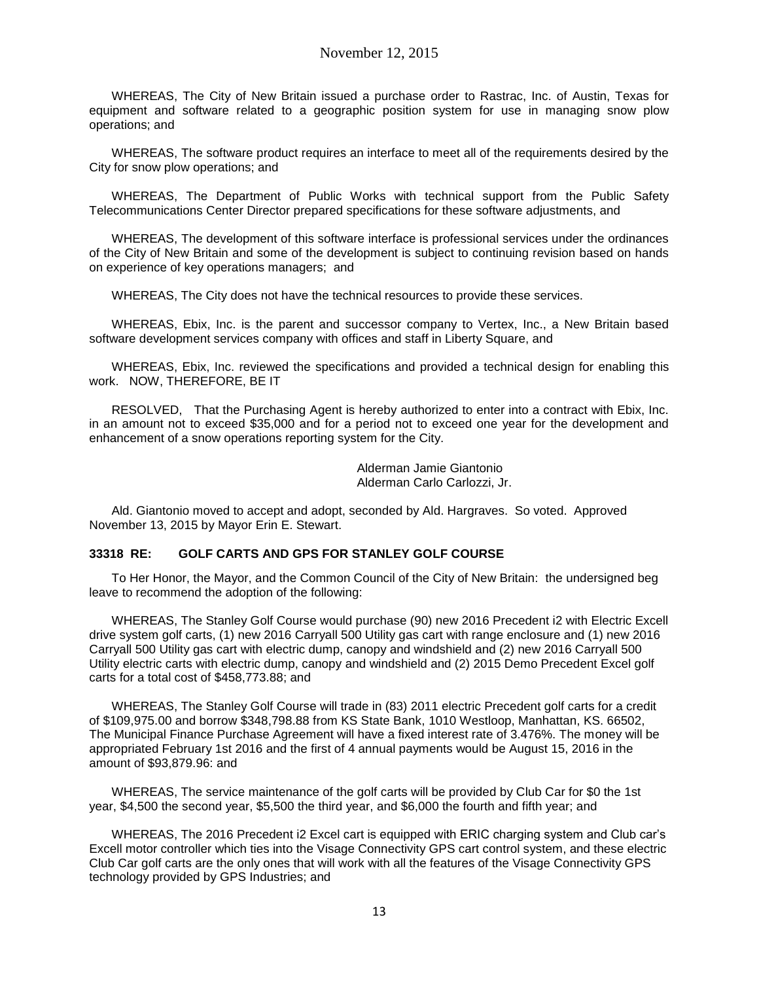WHEREAS, The City of New Britain issued a purchase order to Rastrac, Inc. of Austin, Texas for equipment and software related to a geographic position system for use in managing snow plow operations; and

WHEREAS, The software product requires an interface to meet all of the requirements desired by the City for snow plow operations; and

WHEREAS, The Department of Public Works with technical support from the Public Safety Telecommunications Center Director prepared specifications for these software adjustments, and

WHEREAS, The development of this software interface is professional services under the ordinances of the City of New Britain and some of the development is subject to continuing revision based on hands on experience of key operations managers; and

WHEREAS, The City does not have the technical resources to provide these services.

WHEREAS, Ebix, Inc. is the parent and successor company to Vertex, Inc., a New Britain based software development services company with offices and staff in Liberty Square, and

WHEREAS, Ebix, Inc. reviewed the specifications and provided a technical design for enabling this work. NOW, THEREFORE, BE IT

RESOLVED, That the Purchasing Agent is hereby authorized to enter into a contract with Ebix, Inc. in an amount not to exceed \$35,000 and for a period not to exceed one year for the development and enhancement of a snow operations reporting system for the City.

> Alderman Jamie Giantonio Alderman Carlo Carlozzi, Jr.

Ald. Giantonio moved to accept and adopt, seconded by Ald. Hargraves. So voted. Approved November 13, 2015 by Mayor Erin E. Stewart.

#### **33318 RE: GOLF CARTS AND GPS FOR STANLEY GOLF COURSE**

To Her Honor, the Mayor, and the Common Council of the City of New Britain: the undersigned beg leave to recommend the adoption of the following:

WHEREAS, The Stanley Golf Course would purchase (90) new 2016 Precedent i2 with Electric Excell drive system golf carts, (1) new 2016 Carryall 500 Utility gas cart with range enclosure and (1) new 2016 Carryall 500 Utility gas cart with electric dump, canopy and windshield and (2) new 2016 Carryall 500 Utility electric carts with electric dump, canopy and windshield and (2) 2015 Demo Precedent Excel golf carts for a total cost of \$458,773.88; and

WHEREAS, The Stanley Golf Course will trade in (83) 2011 electric Precedent golf carts for a credit of \$109,975.00 and borrow \$348,798.88 from KS State Bank, 1010 Westloop, Manhattan, KS. 66502, The Municipal Finance Purchase Agreement will have a fixed interest rate of 3.476%. The money will be appropriated February 1st 2016 and the first of 4 annual payments would be August 15, 2016 in the amount of \$93,879.96: and

WHEREAS, The service maintenance of the golf carts will be provided by Club Car for \$0 the 1st year, \$4,500 the second year, \$5,500 the third year, and \$6,000 the fourth and fifth year; and

WHEREAS, The 2016 Precedent i2 Excel cart is equipped with ERIC charging system and Club car's Excell motor controller which ties into the Visage Connectivity GPS cart control system, and these electric Club Car golf carts are the only ones that will work with all the features of the Visage Connectivity GPS technology provided by GPS Industries; and